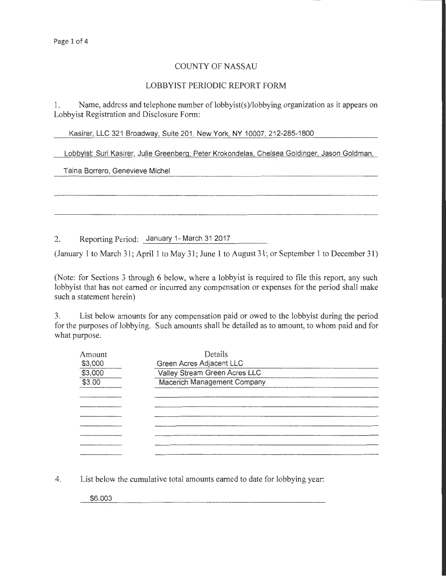## COUNTY OF NASSAU

## LOBBYIST PERIODIC REPORT FORM

1. Name, address and telephone number of lobbyist(s)/lobbying organization as it appears on Lobbyist Registration and Disclosure Form:

Kasirer, LLC 321 Broadway, Suite 201, New York, NY 10007, 212-285-1800

Lobbyist: Suri Kasirer, Julie Greenberg, Peter Krokondelas, Chelsea Goldinger, Jason Goldman,

Taina Borrero, Genevieve Michel

2. Reporting Period: January 1- March 31 2017

(January 1 to March 31; April 1 to May 31; June 1 to August 31; or September 1 to December 31)

(Note: for Sections 3 through 6 below, where a lobbyist is required to file this report, any such lobbyist that has not earned or incurred any compensation or expenses for the period shall make such a statement herein)

3. List below amounts for any compensation paid or owed to the lobbyist during the period for the purposes of lobbying. Such amounts shall be detailed as to amount, to whom paid and for what purpose.

| Amount  | Details                       |  |
|---------|-------------------------------|--|
| \$3,000 | Green Acres Adjacent LLC      |  |
| \$3,000 | Valley Stream Green Acres LLC |  |
| \$3.00  | Macerich Management Company   |  |
|         |                               |  |
|         |                               |  |
|         |                               |  |
|         |                               |  |
|         |                               |  |
|         |                               |  |
|         |                               |  |
|         |                               |  |

4. List below the cumulative total amounts earned to date for lobbying year:

\$6.003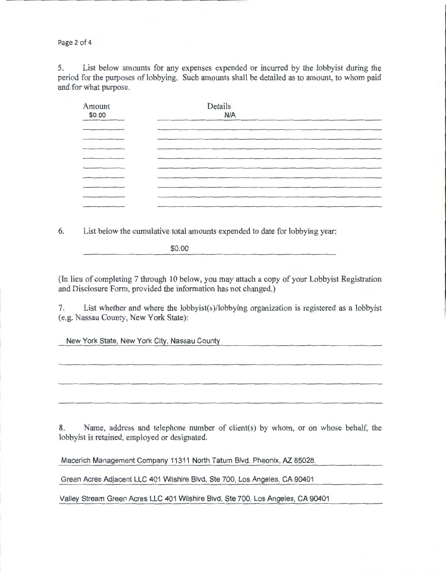Page 2 of 4

5. List below amounts for any expenses expended or incurred by the lobbyist during the period for the purposes of lobbying. Such amounts shall be detailed as to amount, to whom paid and for what purpose.

| Amount<br>\$0.00 | Details<br>N/A |
|------------------|----------------|
|                  |                |
|                  |                |
|                  |                |
|                  |                |
|                  |                |
|                  |                |
|                  |                |
|                  |                |
|                  |                |

6. List below the cumulative total amounts expended to date for lobbying year:

\$0.00

(In lieu of completing 7 through 10 below, you may attach a copy of your Lobbyist Registration and Disclosure Form, provided the information has not changed.)

7. List whether and where the lobbyist(s)/lobbying organization is registered as a lobbyist (e.g. Nassau County, New York State):

New York State, New York City, Nassau County

8. Name, address and telephone number of client(s) by whom, or on whose behalf, the lobbyist is retained, employed or designated.

Macerich Management Company 11311 North Tatum Blvd. Pheonix, AZ. 85028.

Green Acres Adjacent LLC 401 Wilshire Blvd, Ste 700, Los Angeles, CA 90401

Valley Stream Green Acres LLC 401 Wilshire Blvd, Ste 700, Los Angeles, CA 90401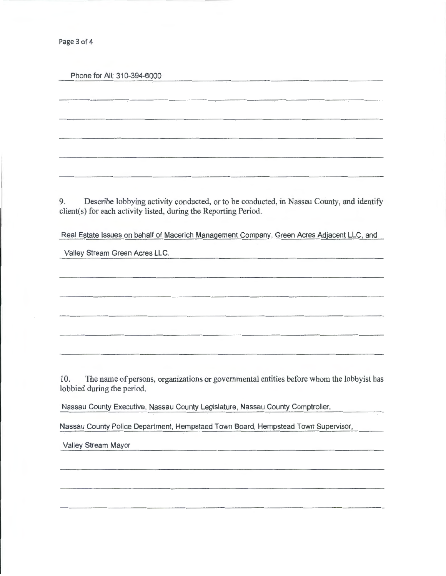Page 3 of 4

Phone for All: 310-394-6000

9. Describe lobbying activity conducted, or to be conducted, in Nassau County, and identify client(s) for each activity listed, during the Reporting Period.

Real Estate Issues on behalf of Macerich Management Company, Green Acres Adjacent LLC, and

Valley Stream Green Acres LLC.

10. The name of persons, organizations or governmental entities before whom the lobbyist has lobbied during the period.

Nassau County Executive, Nassau County Legislature, Nassau County Comptroller,

Nassau County Police Department, Hempstaed Town Board, Hempstead Town Supervisor,

Valley Stream Mayor